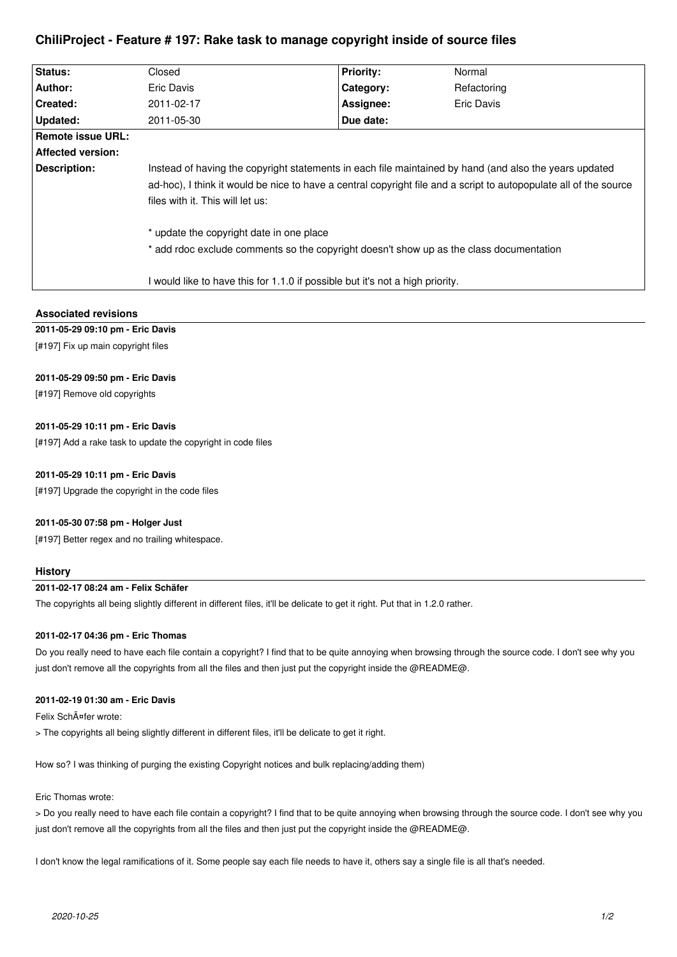# **ChiliProject - Feature # 197: Rake task to manage copyright inside of source files**

| Status:           | Closed                                                                                                            | <b>Priority:</b> | Normal            |
|-------------------|-------------------------------------------------------------------------------------------------------------------|------------------|-------------------|
| Author:           | Eric Davis                                                                                                        | Category:        | Refactoring       |
| Created:          | 2011-02-17                                                                                                        | Assignee:        | <b>Eric Davis</b> |
| Updated:          | 2011-05-30                                                                                                        | Due date:        |                   |
| Remote issue URL: |                                                                                                                   |                  |                   |
| Affected version: |                                                                                                                   |                  |                   |
| Description:      | Instead of having the copyright statements in each file maintained by hand (and also the years updated            |                  |                   |
|                   | ad-hoc), I think it would be nice to have a central copyright file and a script to autopopulate all of the source |                  |                   |
|                   | files with it. This will let us:                                                                                  |                  |                   |
|                   | * update the copyright date in one place                                                                          |                  |                   |
|                   | * add rdoc exclude comments so the copyright doesn't show up as the class documentation                           |                  |                   |
|                   | I would like to have this for 1.1.0 if possible but it's not a high priority.                                     |                  |                   |

### **Associated revisions**

# **2011-05-29 09:10 pm - Eric Davis**

[#197] Fix up main copyright files

### **2011-05-29 09:50 pm - Eric Davis**

[#197] Remove old copyrights

### **2011-05-29 10:11 pm - Eric Davis**

[#197] Add a rake task to update the copyright in code files

#### **2011-05-29 10:11 pm - Eric Davis**

[#197] Upgrade the copyright in the code files

#### **2011-05-30 07:58 pm - Holger Just**

[#197] Better regex and no trailing whitespace.

#### **History**

# **2011-02-17 08:24 am - Felix Schäfer**

The copyrights all being slightly different in different files, it'll be delicate to get it right. Put that in 1.2.0 rather.

#### **2011-02-17 04:36 pm - Eric Thomas**

Do you really need to have each file contain a copyright? I find that to be quite annoying when browsing through the source code. I don't see why you just don't remove all the copyrights from all the files and then just put the copyright inside the @README@.

### **2011-02-19 01:30 am - Eric Davis**

Felix SchĤfer wrote:

> The copyrights all being slightly different in different files, it'll be delicate to get it right.

How so? I was thinking of purging the existing Copyright notices and bulk replacing/adding them)

#### Eric Thomas wrote:

> Do you really need to have each file contain a copyright? I find that to be quite annoying when browsing through the source code. I don't see why you just don't remove all the copyrights from all the files and then just put the copyright inside the @README@.

I don't know the legal ramifications of it. Some people say each file needs to have it, others say a single file is all that's needed.